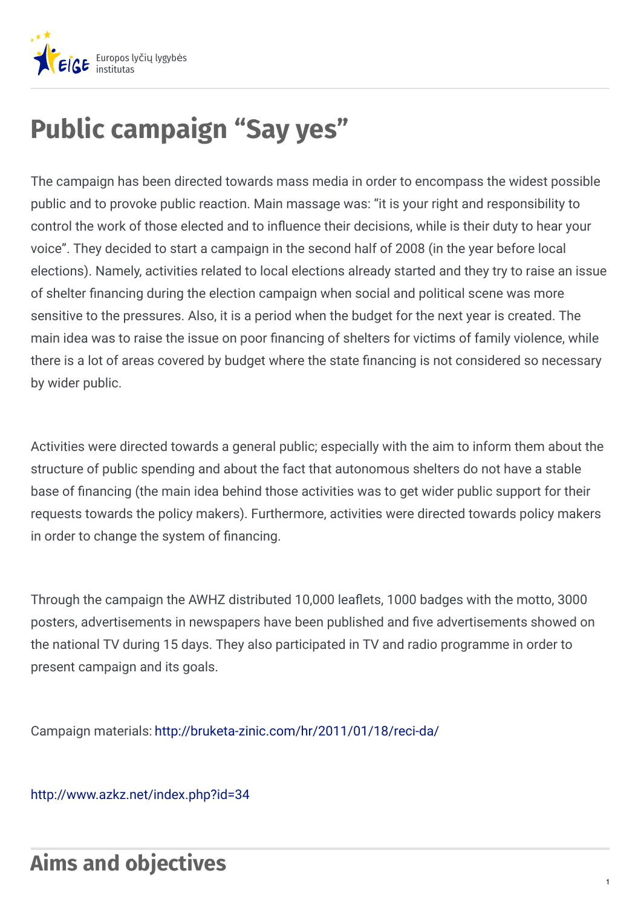

# **Public campaign "Say yes"**

The campaign has been directed towards mass media in order to encompass the widest possible public and to provoke public reaction. Main massage was: "it is your right and responsibility to control the work of those elected and to influence their decisions, while is their duty to hear your voice". They decided to start a campaign in the second half of 2008 (in the year before local elections). Namely, activities related to local elections already started and they try to raise an issue of shelter financing during the election campaign when social and political scene was more sensitive to the pressures. Also, it is a period when the budget for the next year is created. The main idea was to raise the issue on poor financing of shelters for victims of family violence, while there is a lot of areas covered by budget where the state financing is not considered so necessary by wider public.

Activities were directed towards a general public; especially with the aim to inform them about the structure of public spending and about the fact that autonomous shelters do not have a stable base of financing (the main idea behind those activities was to get wider public support for their requests towards the policy makers). Furthermore, activities were directed towards policy makers in order to change the system of financing.

Through the campaign the AWHZ distributed 10,000 leaflets, 1000 badges with the motto, 3000 posters, advertisements in newspapers have been published and five advertisements showed on the national TV during 15 days. They also participated in TV and radio programme in order to present campaign and its goals.

Campaign materials: <http://bruketa-zinic.com/hr/2011/01/18/reci-da/>

<http://www.azkz.net/index.php?id=34>

### **Aims and objectives**